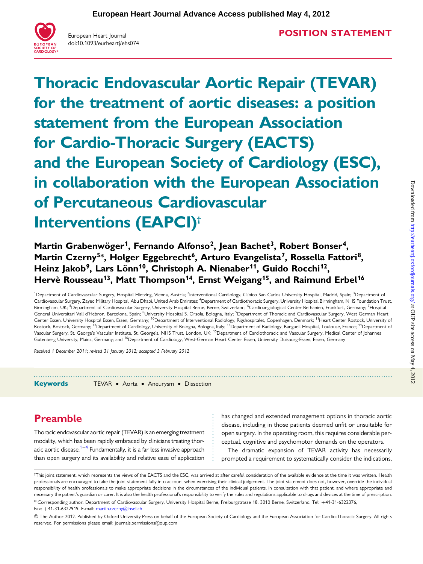

European Heart Journal doi:10.1093/eurheartj/ehs074

Thoracic Endovascular Aortic Repair (TEVAR) for the treatment of aortic diseases: a position statement from the European Association for Cardio-Thoracic Surgery (EACTS) and the European Society of Cardiology (ESC), in collaboration with the European Association of Percutaneous Cardiovascular Interventions (EAPCI)†

Martin Grabenwöger<sup>1</sup>, Fernando Alfonso<sup>2</sup>, Iean Bachet<sup>3</sup>, Robert Bonser<sup>4</sup>, Martin Czerny<sup>5\*</sup>, Holger Eggebrecht<sup>6</sup>, Arturo Evangelista<sup>7</sup>, Rossella Fattori<sup>8</sup>, Heinz Jakob<sup>9</sup>, Lars Lönn<sup>10</sup>, Christoph A. Nienaber<sup>11</sup>, Guido Rocchi<sup>12</sup>, Hervè Rousseau<sup>13</sup>, Matt Thompson<sup>14</sup>, Ernst Weigang<sup>15</sup>, and Raimund Erbel<sup>16</sup>

<sup>1</sup>Department of Cardiovascular Surgery, Hospital Hietzing, Vienna, Austria; <sup>2</sup>Interventional Cardiology, Clínico San Carlos University Hospital, Madrid, Spain; <sup>3</sup>Department of Cardiovascular Surgery, Zayed Military Hospital, Abu Dhabi, United Arab Emirates; <sup>4</sup>Department of Cardiothoracic Surgery, University Hospital Birmingham, NHS Foundation Trust Birmingham, UK; <sup>5</sup>Department of Cardiovascular Surgery, University Hospital Berne, Berne, Switzerland; <sup>6</sup>Cardioangiological Center Bethanien, Frankfurt, Germany; <sup>7</sup>Hospital General Universitari Vall d'Hebron, Barcelona, Spain; <sup>8</sup>University Hospital S. Orsola, Bologna, Italy; <sup>9</sup>Department of Thoracic and Cardiovascular Surgery, West German Heart Center Essen, University Hospital Essen, Essen, Germany; <sup>10</sup>Department of Interventional Radiology, Rigshospitalet, Copenhagen, Denmark; <sup>11</sup>Heart Center Rostock, University of Rostock, Rostock, Germany; <sup>12</sup>Department of Cardiology, University of Bologna, Bologna, Italy; <sup>13</sup>Department of Radiology, Rangueil Hospital, Toulouse, France; <sup>14</sup>Department of Vascular Surgery, St. George's Vascular Institute, St. George's, NHS Trust, London, UK; 15Department of Cardiothoracic and Vascular Surgery, Medical Center of Johannes Gutenberg University, Mainz, Germany; and <sup>16</sup>Department of Cardiology, West-German Heart Center Essen, University Duisburg-Essen, Essen, Germany

Received 1 December 2011; revised 31 January 2012; accepted 3 February 2012

-----------------------------------------------------------------------------------------------------------------------------------------------------------

Keywords TEVAR • Aorta • Aneurysm • Dissection

# Preamble

Thoracic endovascular aortic repair (TEVAR) is an emerging treatment modality, which has been rapidly embraced by clinicians treating thor-acic aortic disease.<sup>1–[4](#page-5-0)</sup> Fundamentally, it is a far less invasive approach than open surgery and its availability and relative ease of application has changed and extended management options in thoracic aortic disease, including in those patients deemed unfit or unsuitable for open surgery. In the operating room, this requires considerable perceptual, cognitive and psychomotor demands on the operators.

The dramatic expansion of TEVAR activity has necessarily prompted a requirement to systematically consider the indications,

† This joint statement, which represents the views of the EACTS and the ESC, was arrived at after careful consideration of the available evidence at the time it was written. Health professionals are encouraged to take the joint statement fully into account when exercising their clinical judgement. The joint statement does not, however, override the individual responsibility of health professionals to make appropriate decisions in the circumstances of the individual patients, in consultation with that patient, and where appropriate and necessary the patient's guardian or carer. It is also the health professional's responsibility to verify the rules and regulations applicable to drugs and devices at the time of prescription. \* Corresponding author. Department of Cardiovascular Surgery, University Hospital Berne, Freiburgstrasse 18, 3010 Berne, Switzerland. Tel: +41-31-6322376,

Fax: +41-31-6322919, E-mail: [martin.czerny@insel.ch](mailto:martin.czerny@insel.ch)

& The Author 2012. Published by Oxford University Press on behalf of the European Society of Cardiology and the European Association for Cardio-Thoracic Surgery. All rights reserved. For permissions please email: journals.permissions@oup.com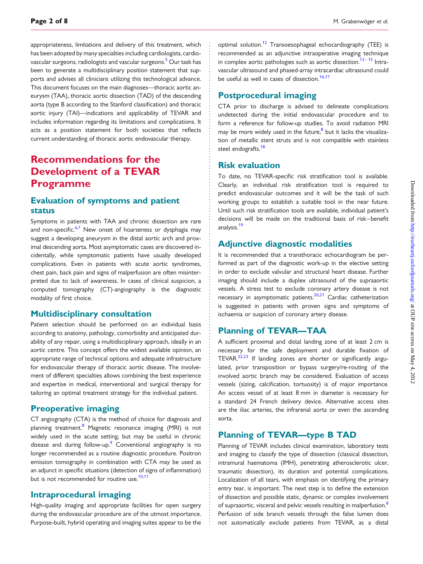appropriateness, limitations and delivery of this treatment, which has been adopted by many specialties including cardiologists, cardio-vascular surgeons, radiologists and vascular surgeons.<sup>[5](#page-5-0)</sup> Our task has been to generate a multidisciplinary position statement that supports and advises all clinicians utilizing this technological advance. This document focuses on the main diagnoses—thoracic aortic aneurysm (TAA), thoracic aortic dissection (TAD) of the descending aorta (type B according to the Stanford classification) and thoracic aortic injury (TAI)—indications and applicability of TEVAR and includes information regarding its limitations and complications. It acts as a position statement for both societies that reflects current understanding of thoracic aortic endovascular therapy.

# Recommendations for the Development of a TEVAR Programme

### Evaluation of symptoms and patient status

Symptoms in patients with TAA and chronic dissection are rare and non-specific.<sup>[6,7](#page-5-0)</sup> New onset of hoarseness or dysphagia may suggest a developing aneurysm in the distal aortic arch and proximal descending aorta. Most asymptomatic cases are discovered incidentally, while symptomatic patients have usually developed complications. Even in patients with acute aortic syndromes, chest pain, back pain and signs of malperfusion are often misinterpreted due to lack of awareness. In cases of clinical suspicion, a computed tomography (CT)-angiography is the diagnostic modality of first choice.

### Multidisciplinary consultation

Patient selection should be performed on an individual basis according to anatomy, pathology, comorbidity and anticipated durability of any repair, using a multidisciplinary approach, ideally in an aortic centre. This concept offers the widest available opinion, an appropriate range of technical options and adequate infrastructure for endovascular therapy of thoracic aortic disease. The involvement of different specialties allows combining the best experience and expertise in medical, interventional and surgical therapy for tailoring an optimal treatment strategy for the individual patient.

### Preoperative imaging

CT angiography (CTA) is the method of choice for diagnosis and planning treatment.<sup>8</sup> Magnetic resonance imaging (MRI) is not widely used in the acute setting, but may be useful in chronic disease and during follow-up.<sup>[9](#page-5-0)</sup> Conventional angiography is no longer recommended as a routine diagnostic procedure. Positron emission tomography in combination with CTA may be used as an adjunct in specific situations (detection of signs of inflammation) but is not recommended for routine use.<sup>[10](#page-5-0),[11](#page-5-0)</sup>

### Intraprocedural imaging

High-quality imaging and appropriate facilities for open surgery during the endovascular procedure are of the utmost importance. Purpose-built, hybrid operating and imaging suites appear to be the optimal solution[.12](#page-5-0) Transoesophageal echocardiography (TEE) is recommended as an adjunctive intraoperative imaging technique in complex aortic pathologies such as aortic dissection.<sup>[13](#page-5-0)-[15](#page-5-0)</sup> Intravascular ultrasound and phased-array intracardiac ultrasound could be useful as well in cases of dissection.<sup>[16,17](#page-5-0)</sup>

### Postprocedural imaging

CTA prior to discharge is advised to delineate complications undetected during the initial endovascular procedure and to form a reference for follow-up studies. To avoid radiation MRI may be more widely used in the future, $8$  but it lacks the visualization of metallic stent struts and is not compatible with stainless steel endografts.<sup>[18](#page-5-0)</sup>

### Risk evaluation

To date, no TEVAR-specific risk stratification tool is available. Clearly, an individual risk stratification tool is required to predict endovascular outcomes and it will be the task of such working groups to establish a suitable tool in the near future. Until such risk stratification tools are available, individual patient's decisions will be made on the traditional basis of risk–benefit analysis.<sup>[19](#page-5-0)</sup>

### Adjunctive diagnostic modalities

It is recommended that a transthoracic echocardiogram be performed as part of the diagnostic work-up in the elective setting in order to exclude valvular and structural heart disease. Further imaging should include a duplex ultrasound of the supraaortic vessels. A stress test to exclude coronary artery disease is not necessary in asymptomatic patients.<sup>[20,21](#page-5-0)</sup> Cardiac catheterization is suggested in patients with proven signs and symptoms of ischaemia or suspicion of coronary artery disease.

### Planning of TEVAR—TAA

A sufficient proximal and distal landing zone of at least 2 cm is necessary for the safe deployment and durable fixation of TEVAR.<sup>22,23</sup> If landing zones are shorter or significantly angulated, prior transposition or bypass surgery/re-routing of the involved aortic branch may be considered. Evaluation of access vessels (sizing, calcification, tortuosity) is of major importance. An access vessel of at least 8 mm in diameter is necessary for a standard 24 French delivery device. Alternative access sites are the iliac arteries, the infrarenal aorta or even the ascending aorta.

### Planning of TEVAR—type B TAD

Planning of TEVAR includes clinical examination, laboratory tests and imaging to classify the type of dissection (classical dissection, intramural haematoma (IMH), penetrating atherosclerotic ulcer, traumatic dissection), its duration and potential complications. Localization of all tears, with emphasis on identifying the primary entry tear, is important. The next step is to define the extension of dissection and possible static, dynamic or complex involvement of supraaortic, visceral and pelvic vessels resulting in malperfusion.<sup>[8](#page-5-0)</sup> Perfusion of side branch vessels through the false lumen does not automatically exclude patients from TEVAR, as a distal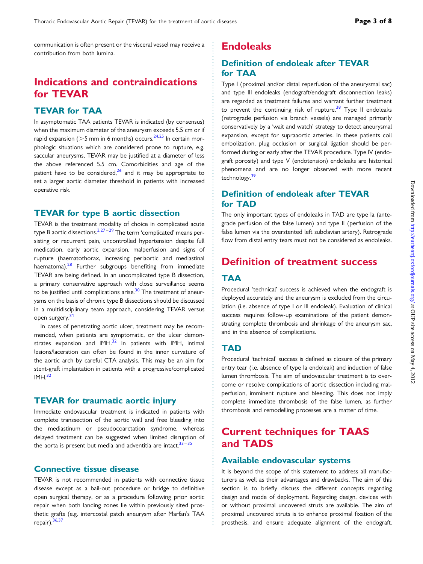communication is often present or the visceral vessel may receive a contribution from both lumina.

# Indications and contraindications for TEVAR

### TEVAR for TAA

In asymptomatic TAA patients TEVAR is indicated (by consensus) when the maximum diameter of the aneurysm exceeds 5.5 cm or if rapid expansion ( $>5$  mm in 6 months) occurs.<sup>[24,25](#page-6-0)</sup> In certain morphologic situations which are considered prone to rupture, e.g. saccular aneurysms, TEVAR may be justified at a diameter of less the above referenced 5.5 cm. Comorbidities and age of the patient have to be considered, $26$  and it may be appropriate to set a larger aortic diameter threshold in patients with increased operative risk.

#### TEVAR for type B aortic dissection

TEVAR is the treatment modality of choice in complicated acute type B aortic dissections. $3,27-29$  $3,27-29$  $3,27-29$  $3,27-29$  $3,27-29$  The term 'complicated' means persisting or recurrent pain, uncontrolled hypertension despite full medication, early aortic expansion, malperfusion and signs of rupture (haematothorax, increasing periaortic and mediastinal haematoma). $28$  Further subgroups benefiting from immediate TEVAR are being defined. In an uncomplicated type B dissection, a primary conservative approach with close surveillance seems to be justified until complications arise.<sup>[30](#page-6-0)</sup> The treatment of aneurysms on the basis of chronic type B dissections should be discussed in a multidisciplinary team approach, considering TEVAR versus open surgery.<sup>[31](#page-6-0)</sup>

In cases of penetrating aortic ulcer, treatment may be recommended, when patients are symptomatic, or the ulcer demonstrates expansion and  $IMH<sup>32</sup>$  $IMH<sup>32</sup>$  $IMH<sup>32</sup>$  In patients with IMH, intimal lesions/laceration can often be found in the inner curvature of the aortic arch by careful CTA analysis. This may be an aim for stent-graft implantation in patients with a progressive/complicated  $IMH<sup>32</sup>$ 

### TEVAR for traumatic aortic injury

Immediate endovascular treatment is indicated in patients with complete transsection of the aortic wall and free bleeding into the mediastinum or pseudocoarctation syndrome, whereas delayed treatment can be suggested when limited disruption of the aorta is present but media and adventitia are intact.<sup>[33](#page-6-0)–[35](#page-6-0)</sup>

### Connective tissue disease

TEVAR is not recommended in patients with connective tissue disease except as a bail-out procedure or bridge to definitive open surgical therapy, or as a procedure following prior aortic repair when both landing zones lie within previously sited prosthetic grafts (e.g. intercostal patch aneurysm after Marfan's TAA repair).<sup>[36,37](#page-6-0)</sup>

## Endoleaks

## Definition of endoleak after TEVAR for TAA

Type I (proximal and/or distal reperfusion of the aneurysmal sac) and type III endoleaks (endograft/endograft disconnection leaks) are regarded as treatment failures and warrant further treatment to prevent the continuing risk of rupture. $38$  Type II endoleaks (retrograde perfusion via branch vessels) are managed primarily conservatively by a 'wait and watch' strategy to detect aneurysmal expansion, except for supraaortic arteries. In these patients coil embolization, plug occlusion or surgical ligation should be performed during or early after the TEVAR procedure. Type IV (endograft porosity) and type V (endotension) endoleaks are historical phenomena and are no longer observed with more recent technology.<sup>39</sup>

### Definition of endoleak after TEVAR for TAD

The only important types of endoleaks in TAD are type Ia (antegrade perfusion of the false lumen) and type II (perfusion of the false lumen via the overstented left subclavian artery). Retrograde flow from distal entry tears must not be considered as endoleaks.

# Definition of treatment success

### TAA

Procedural 'technical' success is achieved when the endograft is deployed accurately and the aneurysm is excluded from the circulation (i.e. absence of type I or III endoleak). Evaluation of clinical success requires follow-up examinations of the patient demonstrating complete thrombosis and shrinkage of the aneurysm sac, and in the absence of complications.

### **TAD**

Procedural 'technical' success is defined as closure of the primary entry tear (i.e. absence of type Ia endoleak) and induction of false lumen thrombosis. The aim of endovascular treatment is to overcome or resolve complications of aortic dissection including malperfusion, imminent rupture and bleeding. This does not imply complete immediate thrombosis of the false lumen, as further thrombosis and remodelling processes are a matter of time.

# Current techniques for TAAS and TADS

#### Available endovascular systems

It is beyond the scope of this statement to address all manufacturers as well as their advantages and drawbacks. The aim of this section is to briefly discuss the different concepts regarding design and mode of deployment. Regarding design, devices with or without proximal uncovered struts are available. The aim of proximal uncovered struts is to enhance proximal fixation of the prosthesis, and ensure adequate alignment of the endograft.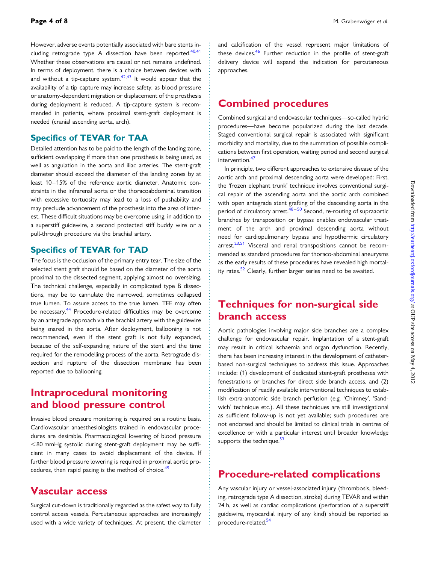However, adverse events potentially associated with bare stents in-cluding retrograde type A dissection have been reported.<sup>[40,41](#page-6-0)</sup> Whether these observations are causal or not remains undefined. In terms of deployment, there is a choice between devices with and without a tip-capture system. $42,43$  It would appear that the availability of a tip capture may increase safety, as blood pressure or anatomy-dependent migration or displacement of the prosthesis during deployment is reduced. A tip-capture system is recommended in patients, where proximal stent-graft deployment is needed (cranial ascending aorta, arch).

### Specifics of TEVAR for TAA

Detailed attention has to be paid to the length of the landing zone, sufficient overlapping if more than one prosthesis is being used, as well as angulation in the aorta and iliac arteries. The stent-graft diameter should exceed the diameter of the landing zones by at least 10-15% of the reference aortic diameter. Anatomic constraints in the infrarenal aorta or the thoracoabdominal transition with excessive tortuosity may lead to a loss of pushability and may preclude advancement of the prosthesis into the area of interest. These difficult situations may be overcome using, in addition to a superstiff guidewire, a second protected stiff buddy wire or a pull-through procedure via the brachial artery.

#### Specifics of TEVAR for TAD

The focus is the occlusion of the primary entry tear. The size of the selected stent graft should be based on the diameter of the aorta proximal to the dissected segment, applying almost no oversizing. The technical challenge, especially in complicated type B dissections, may be to cannulate the narrowed, sometimes collapsed true lumen. To assure access to the true lumen, TEE may often be necessary.<sup>[44](#page-6-0)</sup> Procedure-related difficulties may be overcome by an antegrade approach via the brachial artery with the guidewire being snared in the aorta. After deployment, ballooning is not recommended, even if the stent graft is not fully expanded, because of the self-expanding nature of the stent and the time required for the remodelling process of the aorta. Retrograde dissection and rupture of the dissection membrane has been reported due to ballooning.

# Intraprocedural monitoring and blood pressure control

Invasive blood pressure monitoring is required on a routine basis. Cardiovascular anaesthesiologists trained in endovascular procedures are desirable. Pharmacological lowering of blood pressure  $<$ 80 mmHg systolic during stent-graft deployment may be sufficient in many cases to avoid displacement of the device. If further blood pressure lowering is required in proximal aortic pro-cedures, then rapid pacing is the method of choice.<sup>[45](#page-6-0)</sup>

## Vascular access

Surgical cut-down is traditionally regarded as the safest way to fully control access vessels. Percutaneous approaches are increasingly used with a wide variety of techniques. At present, the diameter and calcification of the vessel represent major limitations of these devices.<sup>[46](#page-6-0)</sup> Further reduction in the profile of stent-graft delivery device will expand the indication for percutaneous approaches.

## Combined procedures

Combined surgical and endovascular techniques—so-called hybrid procedures—have become popularized during the last decade. Staged conventional surgical repair is associated with significant morbidity and mortality, due to the summation of possible complications between first operation, waiting period and second surgical intervention.<sup>[47](#page-6-0)</sup>

In principle, two different approaches to extensive disease of the aortic arch and proximal descending aorta were developed: First, the 'frozen elephant trunk' technique involves conventional surgical repair of the ascending aorta and the aortic arch combined with open antegrade stent grafting of the descending aorta in the period of circulatory arrest.<sup>[48](#page-6-0)-[50](#page-6-0)</sup> Second, re-routing of supraaortic branches by transposition or bypass enables endovascular treatment of the arch and proximal descending aorta without need for cardiopulmonary bypass and hypothermic circulatory arrest. $23,51$  $23,51$  Visceral and renal transpositions cannot be recommended as standard procedures for thoraco-abdominal aneurysms as the early results of these procedures have revealed high mortality rates. $52$  Clearly, further larger series need to be awaited.

# Techniques for non-surgical side branch access

Aortic pathologies involving major side branches are a complex challenge for endovascular repair. Implantation of a stent-graft may result in critical ischaemia and organ dysfunction. Recently, there has been increasing interest in the development of catheterbased non-surgical techniques to address this issue. Approaches include: (1) development of dedicated stent-graft prostheses with fenestrations or branches for direct side branch access, and (2) modification of readily available interventional techniques to establish extra-anatomic side branch perfusion (e.g. 'Chimney', 'Sandwich' technique etc.). All these techniques are still investigational as sufficient follow-up is not yet available; such procedures are not endorsed and should be limited to clinical trials in centres of excellence or with a particular interest until broader knowledge supports the technique.<sup>[53](#page-6-0)</sup>

## Procedure-related complications

Any vascular injury or vessel-associated injury (thrombosis, bleeding, retrograde type A dissection, stroke) during TEVAR and within 24 h, as well as cardiac complications (perforation of a superstiff guidewire, myocardial injury of any kind) should be reported as procedure-related.<sup>[54](#page-6-0)</sup>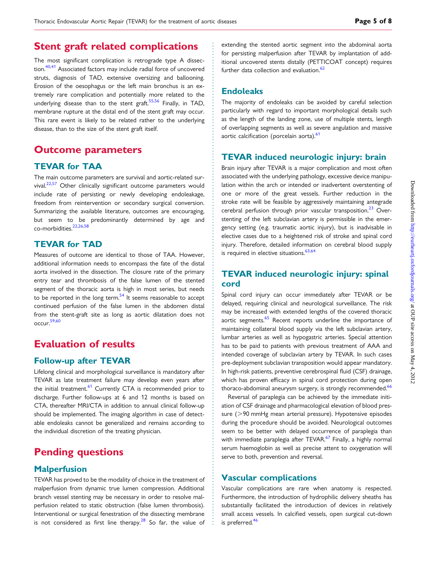### extending the stented aortic segment into the abdominal aorta for persisting malperfusion after TEVAR by implantation of additional uncovered stents distally (PETTICOAT concept) requires further data collection and evaluation. $62$

### Endoleaks

The majority of endoleaks can be avoided by careful selection particularly with regard to important morphological details such as the length of the landing zone, use of multiple stents, length of overlapping segments as well as severe angulation and massive aortic calcification (porcelain aorta).<sup>61</sup>

### TEVAR induced neurologic injury: brain

Brain injury after TEVAR is a major complication and most often associated with the underlying pathology, excessive device manipulation within the arch or intended or inadvertent overstenting of one or more of the great vessels. Further reduction in the stroke rate will be feasible by aggressively maintaining antegrade cerebral perfusion through prior vascular transposition. $^{23}$  $^{23}$  $^{23}$  Overstenting of the left subclavian artery is permissible in the emergency setting (e.g. traumatic aortic injury), but is inadvisable in elective cases due to a heightened risk of stroke and spinal cord injury. Therefore, detailed information on cerebral blood supply is required in elective situations. $63,64$  $63,64$  $63,64$ 

## TEVAR induced neurologic injury: spinal cord

Spinal cord injury can occur immediately after TEVAR or be delayed, requiring clinical and neurological surveillance. The risk may be increased with extended lengths of the covered thoracic aortic segments.<sup>[65](#page-6-0)</sup> Recent reports underline the importance of maintaining collateral blood supply via the left subclavian artery, lumbar arteries as well as hypogastric arteries. Special attention has to be paid to patients with previous treatment of AAA and intended coverage of subclavian artery by TEVAR. In such cases pre-deployment subclavian transposition would appear mandatory. In high-risk patients, preventive cerebrospinal fluid (CSF) drainage, which has proven efficacy in spinal cord protection during open thoraco-abdominal aneurysm surgery, is strongly recommended.<sup>66</sup>

Reversal of paraplegia can be achieved by the immediate initiation of CSF drainage and pharmacological elevation of blood pressure ( $>90$  mmHg mean arterial pressure). Hypotensive episodes during the procedure should be avoided. Neurological outcomes seem to be better with delayed occurrence of paraplegia than with immediate paraplegia after TEVAR.<sup>[67](#page-7-0)</sup> Finally, a highly normal serum haemoglobin as well as precise attent to oxygenation will serve to both, prevention and reversal.

### Vascular complications

Vascular complications are rare when anatomy is respected. Furthermore, the introduction of hydrophilic delivery sheaths has substantially facilitated the introduction of devices in relatively small access vessels. In calcified vessels, open surgical cut-down is preferred. $46$ 

## Stent graft related complications

The most significant complication is retrograde type A dissection.<sup>40,41</sup> Associated factors may include radial force of uncovered struts, diagnosis of TAD, extensive oversizing and ballooning. Erosion of the oesophagus or the left main bronchus is an extremely rare complication and potentially more related to the underlying disease than to the stent graft.<sup>[55](#page-6-0),[56](#page-6-0)</sup> Finally, in TAD, membrane rupture at the distal end of the stent graft may occur. This rare event is likely to be related rather to the underlying disease, than to the size of the stent graft itself.

## Outcome parameters

### TEVAR for TAA

The main outcome parameters are survival and aortic-related sur-vival.<sup>22[,57](#page-6-0)</sup> Other clinically significant outcome parameters would include rate of persisting or newly developing endoleakage, freedom from reintervention or secondary surgical conversion. Summarizing the available literature, outcomes are encouraging, but seem to be predominantly determined by age and co-morbidities[.22](#page-5-0)[,26,58](#page-6-0)

### TEVAR for TAD

Measures of outcome are identical to those of TAA. However, additional information needs to encompass the fate of the distal aorta involved in the dissection. The closure rate of the primary entry tear and thrombosis of the false lumen of the stented segment of the thoracic aorta is high in most series, but needs to be reported in the long term. $54$  It seems reasonable to accept continued perfusion of the false lumen in the abdomen distal from the stent-graft site as long as aortic dilatation does not occur[.59](#page-6-0),[60](#page-6-0)

# Evaluation of results

### Follow-up after TEVAR

Lifelong clinical and morphological surveillance is mandatory after TEVAR as late treatment failure may develop even years after the initial treatment.<sup>61</sup> Currently CTA is recommended prior to discharge. Further follow-ups at 6 and 12 months is based on CTA, thereafter MRI/CTA in addition to annual clinical follow-up should be implemented. The imaging algorithm in case of detectable endoleaks cannot be generalized and remains according to the individual discretion of the treating physician.

# Pending questions

### **Malperfusion**

TEVAR has proved to be the modality of choice in the treatment of malperfusion from dynamic true lumen compression. Additional branch vessel stenting may be necessary in order to resolve malperfusion related to static obstruction (false lumen thrombosis). Interventional or surgical fenestration of the dissecting membrane is not considered as first line therapy.<sup>28</sup> So far, the value of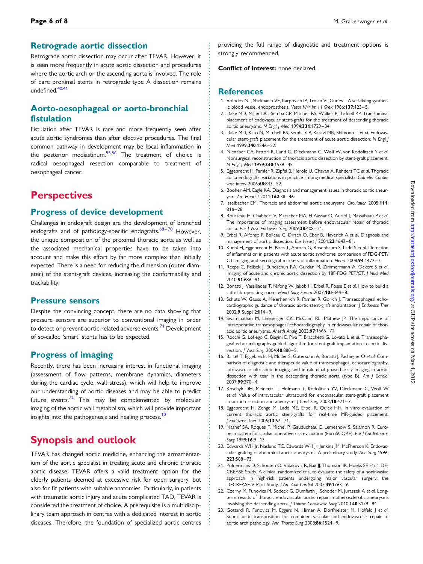#### <span id="page-5-0"></span>Retrograde aortic dissection

Retrograde aortic dissection may occur after TEVAR. However, it is seen more frequently in acute aortic dissection and procedures where the aortic arch or the ascending aorta is involved. The role of bare proximal stents in retrograde type A dissection remains undefined.<sup>[40,41](#page-6-0)</sup>

### Aorto-oesophageal or aorto-bronchial fistulation

Fistulation after TEVAR is rare and more frequently seen after acute aortic syndromes than after elective procedures. The final common pathway in development may be local inflammation in the posterior mediastinum.<sup>55,56</sup> The treatment of choice is radical oesophageal resection comparable to treatment of oesophageal cancer.

## **Perspectives**

#### Progress of device development

Challenges in endograft design are the development of branched endografts and of pathology-specific endografts. $68 - 70$  $68 - 70$  $68 - 70$  However, the unique composition of the proximal thoracic aorta as well as the associated mechanical properties have to be taken into account and make this effort by far more complex than initially expected. There is a need for reducing the dimension (outer diameter) of the stent-graft devices, increasing the conformability and trackability.

#### Pressure sensors

Despite the convincing concept, there are no data showing that pressure sensors are superior to conventional imaging in order to detect or prevent aortic-related adverse events.<sup>[71](#page-7-0)</sup> Development of so-called 'smart' stents has to be expected.

#### Progress of imaging

Recently, there has been increasing interest in functional imaging (assessment of flow patterns, membrane dynamics, diameters during the cardiac cycle, wall stress), which will help to improve our understanding of aortic diseases and may be able to predict future events. $72$  This may be complemented by molecular imaging of the aortic wall metabolism, which will provide important insights into the pathogenesis and healing process.<sup>10</sup>

# Synopsis and outlook

TEVAR has changed aortic medicine, enhancing the armamentarium of the aortic specialist in treating acute and chronic thoracic aortic disease. TEVAR offers a valid treatment option for the elderly patients deemed at excessive risk for open surgery, but also for fit patients with suitable anatomies. Particularly, in patients with traumatic aortic injury and acute complicated TAD, TEVAR is considered the treatment of choice. A prerequisite is a multidisciplinary team approach in centres with a dedicated interest in aortic diseases. Therefore, the foundation of specialized aortic centres

providing the full range of diagnostic and treatment options is strongly recommended.

#### Conflict of interest: none declared.

#### **References**

- 1. Volodos NL, Shekhanin VE, Karpovich IP, Troian VI, Gur'ev I. A self-fixing synthetic blood vessel endoprosthesis. Vestn Khir Im I I Grek 1986;137:123-5.
- 2. Dake MD, Miller DC, Semba CP, Mitchell RS, Walker PI, Liddell RP, Transluminal placement of endovascular stent-grafts for the treatment of descending thoracic aortic aneurysms. N Engl J Med 1994;331:1729 –34.
- 3. Dake MD, Kato N, Mitchell RS, Semba CP, Razavi MK, Shimono T et al. Endovascular stent-graft placement for the treatment of acute aortic dissection. N Engl | Med 1999:340:1546-52.
- 4. Nienaber CA, Fattori R, Lund G, Dieckmann C, Wolf W, von Kodolitsch Y et al. Nonsurgical reconstruction of thoracic aortic dissection by stent-graft placement. N Engl J Med 1999;340:1539-45.
- 5. Eggebrecht H, Pamler R, Zipfel B, Herold U, Chavan A, Rehders TC et al. Thoracic aorta endografts: variations in practice among medical specialists. Catheter Cardiovasc Interv 2006;68:843-52.
- 6. Booher AM, Eagle KA. Diagnosis and management issues in thoracic aortic aneurysm. Am Heart J 2011;162:38-46.
- 7. Isselbacher EM. Thoracic and abdominal aortic aneurysms. Circulation 2005;111:  $816 - 28.$
- 8. Rousseau H, Chabbert V, Maracher MA, El Aassar O, Auriol J, Massabuau P et al. The importance of imaging assessment before endovascular repair of thoracic aorta. Eur J Vasc Endovasc Surg 2009;38:408-21.
- 9. Erbel R, Alfonso F, Boileau C, Dirsch O, Eber B, Haverich A et al. Diagnosis and management of aortic dissection. Eur Heart J 2001;22:1642-81.
- 10. Kuehl H, Eggebrecht H, Boes T, Antoch G, Rosenbaum S, Ladd S et al. Detection of inflammation in patients with acute aortic syndrome: comparison of FDG-PET/ CT imaging and serological markers of inflammation. Heart 2008;94:1472-7.
- 11. Reeps C, Pelisek J, Bundschuh RA, Gurdan M, Zimmermann A, Ockert S et al. Imaging of acute and chronic aortic dissection by 18F-FDG PET/CT. J Nucl Med 2010;51:686 –91.
- 12. Bonatti J, Vassiliades T, Nifong W, Jakob H, Erbel R, Fosse E et al. How to build a cath-lab operating room. Heart Surg Forum 2007;10:E344-8.
- 13. Schutz W, Gauss A, Meierhenrich R, Pamler R, Gorich J. Transesophageal echocardiographic guidance of thoracic aortic stent-graft implantation. J Endovasc Ther 2002;9 Suppl 2:ll14-9.
- 14. Swaminathan M, Lineberger CK, McCann RL, Mathew JP. The importance of intraoperative transesophageal echocardiography in endovascular repair of thoracic aortic aneurysms. Anesth Analg 2003;97:1566-72.
- 15. Rocchi G, Lofiego C, Biagini E, Piva T, Bracchetti G, Lovato L et al. Transesophageal echocardiography-guided algorithm for stent-graft implantation in aortic dissection. *J Vasc Surg* 2004;40:880-5.
- 16. Bartel T, Eggebrecht H, Muller S, Gutersohn A, Bonatti J, Pachinger O et al. Comparison of diagnostic and therapeutic value of transesophageal echocardiography, intravascular ultrasonic imaging, and intraluminal phased-array imaging in aortic dissection with tear in the descending thoracic aorta (type B). Am J Cardiol 2007;99:270 –4.
- 17. Koschyk DH, Meinertz T, Hofmann T, Kodolitsch YV, Dieckmann C, Wolf W et al. Value of intravascular ultrasound for endovascular stent-graft placement in aortic dissection and aneurysm. J Card Surg 2003;18:471-7.
- 18. Eggebrecht H, Zenge M, Ladd ME, Erbel R, Quick HH. In vitro evaluation of current thoracic aortic stent-grafts for real-time MR-guided placement. J Endovasc Ther 2006;13:62-71.
- 19. Nashef SA, Roques F, Michel P, Gauducheau E, Lemeshow S, Salamon R. European system for cardiac operative risk evaluation (EuroSCORE). Eur J Cardiothorac Surg 1999:16:9-13.
- 20. Edwards WH Jr, Naslund TC, Edwards WH Jr, Jenkins JM, McPherson K. Endovascular grafting of abdominal aortic aneurysms. A preliminary study. Ann Surg 1996; 223:568 – 73.
- 21. Poldermans D, Schouten O, Vidakovic R, Bax JJ, Thomson IR, Hoeks SE et al.; DE-CREASE Study. A clinical randomized trial to evaluate the safety of a noninvasive approach in high-risk patients undergoing major vascular surgery: the DECREASE-V Pilot Study. J Am Coll Cardiol 2007;49:1763 –9.
- 22. Czerny M, Funovics M, Sodeck G, Dumfarth J, Schoder M, Juraszek A et al. Longterm results of thoracic endovascular aortic repair in atherosclerotic aneurysms involving the descending aorta. J Thorac Cardiovasc Surg 2010;140:S179-84.
- 23. Gottardi R, Funovics M, Eggers N, Hirner A, Dorfmeister M, Holfeld J et al. Supra-aortic transposition for combined vascular and endovascular repair of aortic arch pathology. Ann Thorac Surg 2008;86:1524 –9.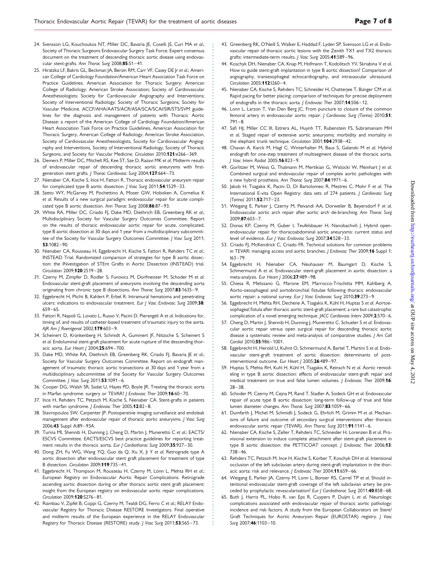- <span id="page-6-0"></span>24. Svensson LG, Kouchoukos NT, Miller DC, Bavaria JE, Coselli JS, Curi MA et al.; Society of Thoracic Surgeons Endovascular Surgery Task Force. Expert consensus document on the treatment of descending thoracic aortic disease using endovascular stent-grafts. Ann Thorac Surg 2008;85:S1-41.
- 25. Hiratzka LF, Bakris GL, Beckman JA, Bersin RM, Carr VF, Casey DE Jr et al.; American College of Cardiology Foundation/American Heart Association Task Force on Practice Guidelines; American Association for Thoracic Surgery; American College of Radiology; American Stroke Association; Society of Cardiovascular Anesthesiologists; Society for Cardiovascular Angiography and Interventions; Society of Interventional Radiology; Society of Thoracic Surgeons; Society for Vascular Medicine. ACCF/AHA/AATS/ACR/ASA/SCA/SCAI/SIR/STS/SVM guidelines for the diagnosis and management of patients with Thoracic Aortic Disease: a report of the American College of Cardiology Foundation/American Heart Association Task Force on Practice Guidelines, American Association for Thoracic Surgery, American College of Radiology, American Stroke Association, Society of Cardiovascular Anesthesiologists, Society for Cardiovascular Angiography and Interventions, Society of Interventional Radiology, Society of Thoracic Surgeons, and Society for Vascular Medicine. Circulation 2010;121:e266-369.
- 26. Demers P, Miller DC, Mitchell RS, Kee ST, Sze D, Razavi MK et al. Midterm results of endovascular repair of descending thoracic aortic aneurysms with firstgeneration stent grafts. J Thorac Cardiovasc Surg 2004;127:664-73.
- 27. Nienaber CA, Kische S, Ince H, Fattori R. Thoracic endovascular aneurysm repair for complicated type B aortic dissection. J Vasc Surg 2011;54:1529-33.
- 28. Szeto WY, McGarvey M, Pochettino A, Moser GW, Hoboken A, Cornelius K et al. Results of a new surgical paradigm: endovascular repair for acute complicated type B aortic dissection. Ann Thorac Surg 2008;86:87-93.
- 29. White RA, Miller DC, Criado FJ, Dake MD, Diethrich EB, Greenberg RK et al.; Multidisciplinary Society for Vascular Surgery Outcomes Committee. Report on the results of thoracic endovascular aortic repair for acute, complicated, type B aortic dissection at 30 days and 1 year from a multidisciplinary subcommittee of the Society for Vascular Surgery Outcomes Committee. / Vasc Surg 2011; 53:1082 –90.
- 30. Nienaber CA, Rousseau H, Eggebrecht H, Kische S, Fattori R, Rehders TC et al.; INSTEAD Trial. Randomized comparison of strategies for type B aortic dissection: the INvestigation of STEnt Grafts in Aortic Dissection (INSTEAD) trial. Circulation 2009;120:2519 –28.
- 31. Czerny M, Zimpfer D, Rodler S, Funovics M, Dorfmeister M, Schoder M et al. Endovascular stent-graft placement of aneurysms involving the descending aorta originating from chronic type B dissections. Ann Thorac Surg 2007;83:1635-9.
- 32. Eggebrecht H, Plicht B, Kahlert P, Erbel R. Intramural hematoma and penetrating ulcers: indications to endovascular treatment. Eur I Vasc Endovasc Surg 2009:38: 659 –65.
- 33. Fattori R, Napoli G, Lovato L, Russo V, Pacini D, Pierangeli A et al. Indications for, timing of, and results of catheter-based treatment of traumatic injury to the aorta. AJR Am J Roentgenol 2002;179:603-9.
- 34. Scheinert D, Krankenberg H, Schmidt A, Gummert JF, Nitzsche S, Scheinert S et al. Endoluminal stent-graft placement for acute rupture of the descending thoracic aorta. Eur Heart | 2004:25:694-700.
- 35. Dake MD, White RA, Diethrich EB, Greenberg RK, Criado FJ, Bavaria JE et al.; Society for Vascular Surgery Outcomes Committee. Report on endograft management of traumatic thoracic aortic transections at 30 days and 1 year from a multidisciplinary subcommittee of the Society for Vascular Surgery Outcomes Committee. J Vasc Surg 2011;53:1091-6.
- 36. Cooper DG, Walsh SR, Sadat U, Hayes PD, Boyle JR. Treating the thoracic aorta in Marfan syndrome: surgery or TEVAR? J Endovasc Ther 2009;16:60-70.
- 37. Ince H, Rehders TC, Petzsch M, Kische S, Nienaber CA. Stent-grafts in patients with marfan syndrome. *J Endovasc Ther* 2005;12:82-8.
- 38. Stavropoulos SW, Carpenter JP. Postoperative imaging surveillance and endoleak management after endovascular repair of thoracic aortic aneurysms. J Vasc Surg 2006;43 Suppl A:89-93A.
- 39. Turina MI, Shennib H, Dunning J, Cheng D, Martin J, Muneretto C et al.; EACTS/ ESCVS Committee. EACTS/ESCVS best practice guidelines for reporting treatment results in the thoracic aorta. Eur J Cardiothorac Surg 2009;35:927-30.
- 40. Dong ZH, Fu WG, Wang YQ, Guo da Q, Xu X, Ji Y et al. Retrograde type A aortic dissection after endovascular stent graft placement for treatment of type B dissection. Circulation 2009;119:735 –41.
- 41. Eggebrecht H, Thompson M, Rousseau H, Czerny M, Lönn L, Mehta RH et al.; European Registry on Endovascular Aortic Repair Complications. Retrograde ascending aortic dissection during or after thoracic aortic stent graft placement: insight from the European registry on endovascular aortic repair complications. Circulation 2009;120:S276 –81.
- 42. Riambau V, Zipfel B, Coppi G, Czerny M, Tealdi DG, Ferro C et al.; RELAY Endovascular Registry for Thoracic Disease RESTORE Investigators. Final operative and midterm results of the European experience in the RELAY Endovascular Registry for Thoracic Disease (RESTORE) study. J Vasc Surg 2011;53:565-73.
- 43. Greenberg RK, O'Neill S, Walker E, Haddad F, Lyden SP, Svensson LG et al. Endovascular repair of thoracic aortic lesions with the Zenith TX1 and TX2 thoracic grafts: intermediate-term results. J Vasc Surg 2005;41:589-96.
- 44. Koschyk DH, Nienaber CA, Knap M, Hofmann T, Kodolitsch YV, Skriabina V et al. How to guide stent-graft implantation in type B aortic dissection? Comparison of angiography, transesophageal echocardiography, and intravascular ultrasound. Circulation 2005;112:I260-4.
- 45. Nienaber CA, Kische S, Rehders TC, Schneider H, Chatterjee T, Bünger CM et al. Rapid pacing for better placing: comparison of techniques for precise deployment of endografts in the thoracic aorta. J Endovasc Ther 2007;14:506-12.
- 46. Lonn L, Larzon T, Van Den Berg JC. From puncture to closure of the common femoral artery in endovascular aortic repair. J Cardiovasc Surg (Torino) 2010;51:  $791 - 8.$
- 47. Safi HJ, Miller CC III, Estrera AL, Huynh TT, Rubenstein FS, Subramaniam MH et al. Staged repair of extensive aortic aneurysms: morbidity and mortality in the elephant trunk technique. Circulation 2001;104:2938-42.
- 48. Chavan A, Karck M, Hagl C, Winterhalter M, Baus S, Galanski M et al. Hybrid endograft for one-step treatment of multisegment disease of the thoracic aorta. J Vasc Interv Radiol 2005;16:823 –9.
- 49. Gorlitzer M, Weiss G, Thalmann M, Mertikian G, Wislocki W, Meinhart J et al. Combined surgical and endovascular repair of complex aortic pathologies with a new hybrid prosthesis. Ann Thorac Surg 2007;84:1971-6.
- 50. Jakob H, Tsagakis K, Pacini D, Di Bartolomeo R, Mestres C, Mohr F et al. The International E-vita Open Registry: data sets of 274 patients. J Cardiovasc Surg (Torino) 2011;52:717 –23.
- 51. Weigang E, Parker J, Czerny M, Peivandi AA, Dorweiler B, Beyersdorf F et al. Endovascular aortic arch repair after aortic arch de-branching. Ann Thorac Surg 2009;87:603 –7.
- 52. Donas KP, Czerny M, Guber I, Teufelsbauer H, Nanobachvili J. Hybrid openendovascular repair for thoracoabdominal aortic aneurysms: current status and level of evidence. Eur J Vasc Endovasc Surg 2007;34:528-33.
- 53. Criado FJ, McKendrick C, Criado FR. Technical solutions for common problems in TEVAR: managing access and aortic branches. J Endovasc Ther 2009;16 Suppl 1:  $163 - 79.$
- 54. Eggebrecht H, Nienaber CA, Neuhauser M, Baumgart D, Kische S, Schmermund A et al. Endovascular stent-graft placement in aortic dissection: a meta-analysis. Eur Heart J 2006;27:489-98.
- 55. Chiesa R, Melissano G, Marone EM, Marrocco-Trischitta MM, Kahlberg A. Aorto-oesophageal and aortobronchial fistulae following thoracic endovascular aortic repair: a national survey. Eur J Vasc Endovasc Surg 2010;39:273-9.
- 56. Eggebrecht H, Mehta RH, Dechene A, Tsagakis K, Kühl H, Huptas S et al. Aortoesophageal fistula after thoracic aortic stent-graft placement: a rare but catastrophic complication of a novel emerging technique. JACC Cardiovasc Interv 2009;2:570-6.
- 57. Cheng D, Martin J, Shennib H, Dunning J, Muneretto C, Schueler S et al. Endovascular aortic repair versus open surgical repair for descending thoracic aortic disease a systematic review and meta-analysis of comparative studies. J Am Coll Cardiol 2010:55:986-1001.
- 58. Eggebrecht H, Herold U, Kuhnt O, Schmermund A, Bartel T, Martini S et al. Endovascular stent-graft treatment of aortic dissection: determinants of postinterventional outcome. Eur Heart J 2005;26:489-97.
- 59. Huptas S, Mehta RH, Kuhl H, Kühl H, Tsagakis K, Reinsch N et al. Aortic remodeling in type B aortic dissection: effects of endovascular stent-graft repair and medical treatment on true and false lumen volumes. J Endovasc Ther 2009;16:  $28 - 38.$
- 60. Schoder M, Czerny M, Cejna M, Rand T, Stadler A, Sodeck GH et al. Endovascular repair of acute type B aortic dissection: long-term follow-up of true and false lumen diameter changes. Ann Thorac Surg 2007;83:1059-66.
- 61. Dumfarth J, Michel M, Schmidli J, Sodeck G, Ehrlich M, Grimm M et al. Mechanisms of failure and outcome of secondary surgical interventions after thoracic endovascular aortic repair (TEVAR). Ann Thorac Surg 2011;91:1141-6.
- 62. Nienaber CA, Kische S, Zeller T, Rehders TC, Schneider H, Lorenzen B et al. Provisional extension to induce complete attachment after stent-graft placement in type B aortic dissection: the PETTICOAT concept. J Endovasc Ther 2006;13: 738 –46.
- 63. Rehders TC, Petzsch M, Ince H, Kische S, Korber T, Koschyk DH et al. Intentional occlusion of the left subclavian artery during stent-graft implantation in the thoracic aorta: risk and relevance. J Endovasc Ther 2004;11:659-66.
- 64. Weigang E, Parker JA, Czerny M, Lonn L, Bonser RS, Carrel TP et al. Should intentional endovascular stent-graft coverage of the left subclavian artery be preceded by prophylactic revascularisation? Eur J Cardiothorac Surg 2011;40:858-68.
- 65. Buth J, Harris PL, Hobo R, van Eps R, Cuypers P, Duijm L et al. Neurologic complications associated with endovascular repair of thoracic aortic pathology: incidence and risk factors. A study from the European Collaborators on Stent/ Graft Techniques for Aortic Aneurysm Repair (EUROSTAR) registry. J Vasc Surg 2007:46:1103-10.